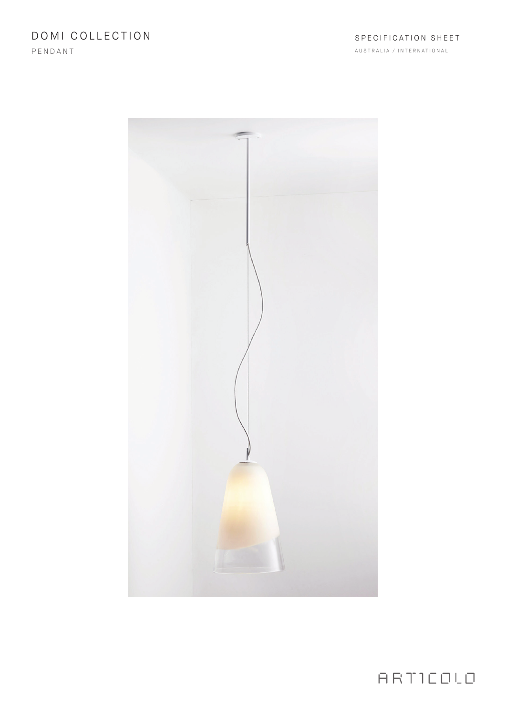DOMI COLLECTION

PENDANT

AUSTRALIA / INTERNATIONAL



ARTICOLO